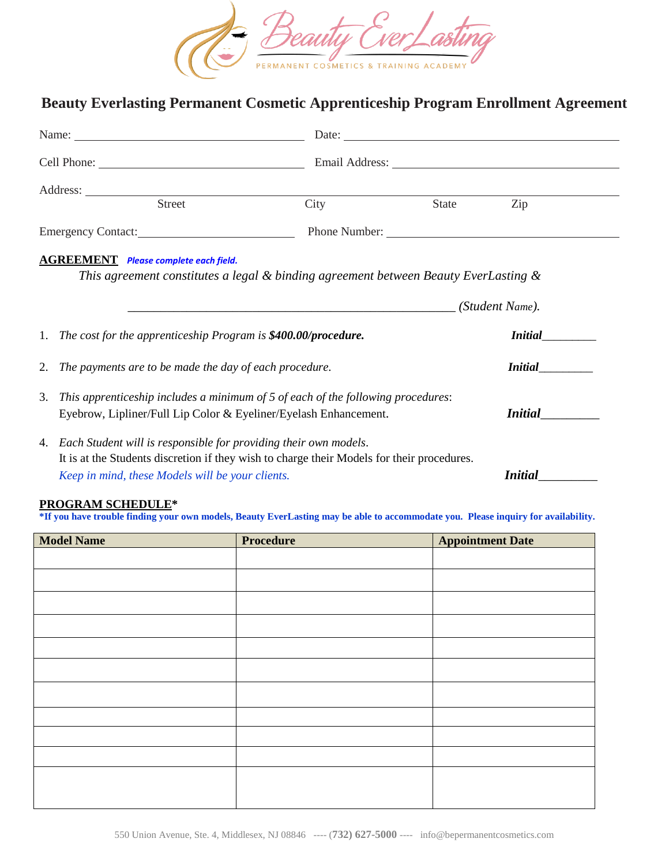

## **Beauty Everlasting Permanent Cosmetic Apprenticeship Program Enrollment Agreement**

|                    | Name:                                                                                                                               |      |       |                |  |
|--------------------|-------------------------------------------------------------------------------------------------------------------------------------|------|-------|----------------|--|
|                    |                                                                                                                                     |      |       |                |  |
|                    |                                                                                                                                     |      |       |                |  |
|                    | <b>Street</b>                                                                                                                       | City | State | Zip            |  |
| Emergency Contact: |                                                                                                                                     |      |       |                |  |
|                    | <b>AGREEMENT</b> Please complete each field.<br>This agreement constitutes a legal & binding agreement between Beauty EverLasting & |      |       |                |  |
|                    | 1. The cost for the apprenticeship Program is \$400.00/procedure.                                                                   |      |       | <i>Initial</i> |  |
|                    | 2. The payments are to be made the day of each procedure.                                                                           |      |       | <i>Initial</i> |  |
| 3.                 | This apprenticeship includes a minimum of 5 of each of the following procedures:                                                    |      |       |                |  |
|                    | Eyebrow, Lipliner/Full Lip Color & Eyeliner/Eyelash Enhancement.                                                                    |      |       | <i>Initial</i> |  |
|                    | 4. Each Student will is responsible for providing their own models.                                                                 |      |       |                |  |
|                    | It is at the Students discretion if they wish to charge their Models for their procedures.                                          |      |       |                |  |
|                    | Keep in mind, these Models will be your clients.                                                                                    |      |       | <b>Initial</b> |  |

## **PROGRAM SCHEDULE\***

**\*If you have trouble finding your own models, Beauty EverLasting may be able to accommodate you. Please inquiry for availability.** 

| <b>Model Name</b> | <b>Procedure</b> | <b>Appointment Date</b> |
|-------------------|------------------|-------------------------|
|                   |                  |                         |
|                   |                  |                         |
|                   |                  |                         |
|                   |                  |                         |
|                   |                  |                         |
|                   |                  |                         |
|                   |                  |                         |
|                   |                  |                         |
|                   |                  |                         |
|                   |                  |                         |
|                   |                  |                         |
|                   |                  |                         |